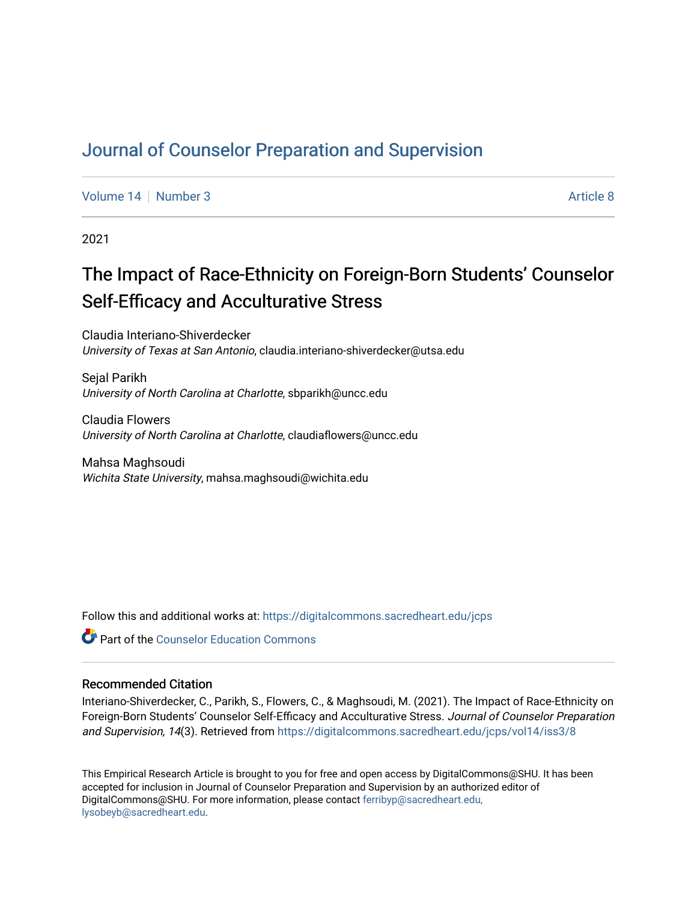# [Journal of Counselor Preparation and Supervision](https://digitalcommons.sacredheart.edu/jcps)

[Volume 14](https://digitalcommons.sacredheart.edu/jcps/vol14) | [Number 3](https://digitalcommons.sacredheart.edu/jcps/vol14/iss3) Article 8

2021

# The Impact of Race-Ethnicity on Foreign-Born Students' Counselor Self-Efficacy and Acculturative Stress

Claudia Interiano-Shiverdecker University of Texas at San Antonio, claudia.interiano-shiverdecker@utsa.edu

Seial Parikh University of North Carolina at Charlotte, sbparikh@uncc.edu

Claudia Flowers University of North Carolina at Charlotte, claudiaflowers@uncc.edu

Mahsa Maghsoudi Wichita State University, mahsa.maghsoudi@wichita.edu

Follow this and additional works at: [https://digitalcommons.sacredheart.edu/jcps](https://digitalcommons.sacredheart.edu/jcps?utm_source=digitalcommons.sacredheart.edu%2Fjcps%2Fvol14%2Fiss3%2F8&utm_medium=PDF&utm_campaign=PDFCoverPages) 

**C** Part of the Counselor Education Commons

## Recommended Citation

Interiano-Shiverdecker, C., Parikh, S., Flowers, C., & Maghsoudi, M. (2021). The Impact of Race-Ethnicity on Foreign-Born Students' Counselor Self-Efficacy and Acculturative Stress. Journal of Counselor Preparation and Supervision, 14(3). Retrieved from [https://digitalcommons.sacredheart.edu/jcps/vol14/iss3/8](https://digitalcommons.sacredheart.edu/jcps/vol14/iss3/8?utm_source=digitalcommons.sacredheart.edu%2Fjcps%2Fvol14%2Fiss3%2F8&utm_medium=PDF&utm_campaign=PDFCoverPages)

This Empirical Research Article is brought to you for free and open access by DigitalCommons@SHU. It has been accepted for inclusion in Journal of Counselor Preparation and Supervision by an authorized editor of DigitalCommons@SHU. For more information, please contact [ferribyp@sacredheart.edu,](mailto:ferribyp@sacredheart.edu,%20lysobeyb@sacredheart.edu) [lysobeyb@sacredheart.edu](mailto:ferribyp@sacredheart.edu,%20lysobeyb@sacredheart.edu).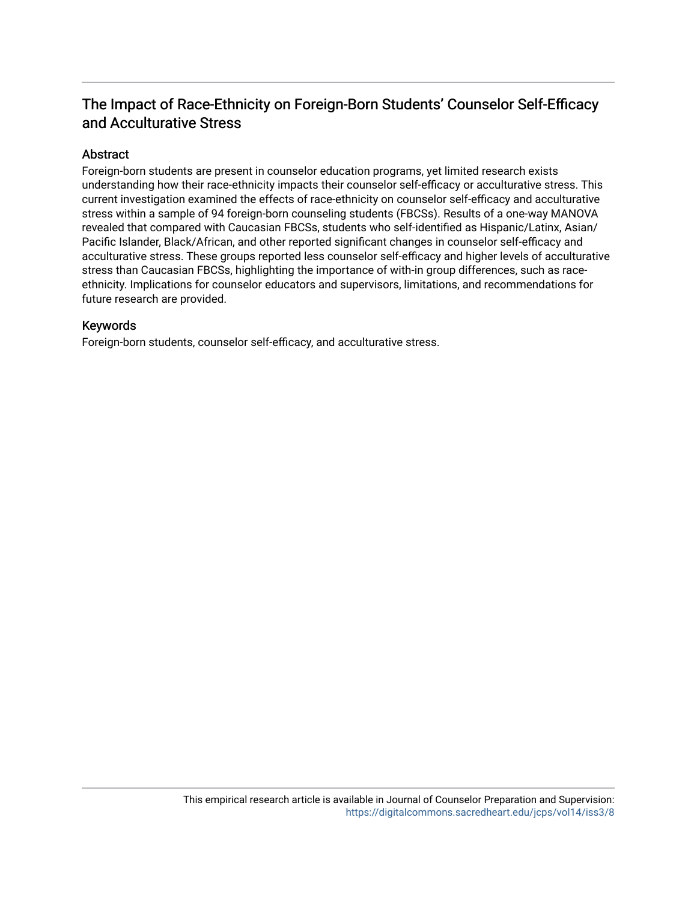# The Impact of Race-Ethnicity on Foreign-Born Students' Counselor Self-Efficacy and Acculturative Stress

# Abstract

Foreign-born students are present in counselor education programs, yet limited research exists understanding how their race-ethnicity impacts their counselor self-efficacy or acculturative stress. This current investigation examined the effects of race-ethnicity on counselor self-efficacy and acculturative stress within a sample of 94 foreign-born counseling students (FBCSs). Results of a one-way MANOVA revealed that compared with Caucasian FBCSs, students who self-identified as Hispanic/Latinx, Asian/ Pacific Islander, Black/African, and other reported significant changes in counselor self-efficacy and acculturative stress. These groups reported less counselor self-efficacy and higher levels of acculturative stress than Caucasian FBCSs, highlighting the importance of with-in group differences, such as raceethnicity. Implications for counselor educators and supervisors, limitations, and recommendations for future research are provided.

# Keywords

Foreign-born students, counselor self-efficacy, and acculturative stress.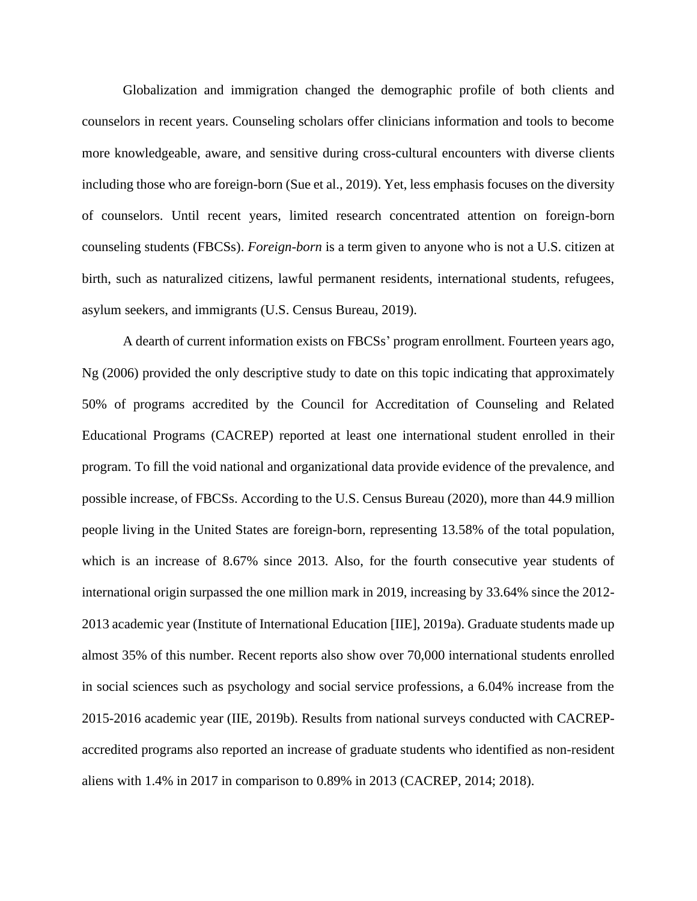Globalization and immigration changed the demographic profile of both clients and counselors in recent years. Counseling scholars offer clinicians information and tools to become more knowledgeable, aware, and sensitive during cross-cultural encounters with diverse clients including those who are foreign-born (Sue et al., 2019). Yet, less emphasis focuses on the diversity of counselors. Until recent years, limited research concentrated attention on foreign-born counseling students (FBCSs). *Foreign-born* is a term given to anyone who is not a U.S. citizen at birth, such as naturalized citizens, lawful permanent residents, international students, refugees, asylum seekers, and immigrants (U.S. Census Bureau, 2019).

A dearth of current information exists on FBCSs' program enrollment. Fourteen years ago, Ng (2006) provided the only descriptive study to date on this topic indicating that approximately 50% of programs accredited by the Council for Accreditation of Counseling and Related Educational Programs (CACREP) reported at least one international student enrolled in their program. To fill the void national and organizational data provide evidence of the prevalence, and possible increase, of FBCSs. According to the U.S. Census Bureau (2020), more than 44.9 million people living in the United States are foreign-born, representing 13.58% of the total population, which is an increase of 8.67% since 2013. Also, for the fourth consecutive year students of international origin surpassed the one million mark in 2019, increasing by 33.64% since the 2012- 2013 academic year (Institute of International Education [IIE], 2019a). Graduate students made up almost 35% of this number. Recent reports also show over 70,000 international students enrolled in social sciences such as psychology and social service professions, a 6.04% increase from the 2015-2016 academic year (IIE, 2019b). Results from national surveys conducted with CACREPaccredited programs also reported an increase of graduate students who identified as non-resident aliens with 1.4% in 2017 in comparison to 0.89% in 2013 (CACREP, 2014; 2018).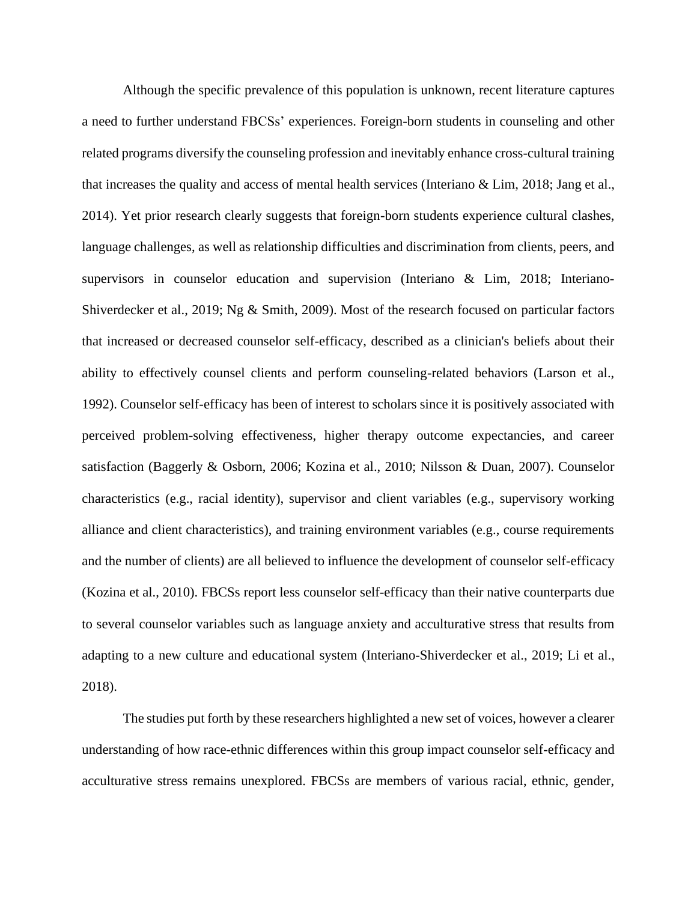Although the specific prevalence of this population is unknown, recent literature captures a need to further understand FBCSs' experiences. Foreign-born students in counseling and other related programs diversify the counseling profession and inevitably enhance cross-cultural training that increases the quality and access of mental health services (Interiano & Lim, 2018; Jang et al., 2014). Yet prior research clearly suggests that foreign-born students experience cultural clashes, language challenges, as well as relationship difficulties and discrimination from clients, peers, and supervisors in counselor education and supervision (Interiano & Lim, 2018; Interiano-Shiverdecker et al., 2019; Ng & Smith, 2009). Most of the research focused on particular factors that increased or decreased counselor self-efficacy, described as a clinician's beliefs about their ability to effectively counsel clients and perform counseling-related behaviors (Larson et al., 1992). Counselor self-efficacy has been of interest to scholars since it is positively associated with perceived problem-solving effectiveness, higher therapy outcome expectancies, and career satisfaction (Baggerly & Osborn, 2006; Kozina et al., 2010; Nilsson & Duan, 2007). Counselor characteristics (e.g., racial identity), supervisor and client variables (e.g., supervisory working alliance and client characteristics), and training environment variables (e.g., course requirements and the number of clients) are all believed to influence the development of counselor self-efficacy (Kozina et al., 2010). FBCSs report less counselor self-efficacy than their native counterparts due to several counselor variables such as language anxiety and acculturative stress that results from adapting to a new culture and educational system (Interiano-Shiverdecker et al., 2019; Li et al., 2018).

The studies put forth by these researchers highlighted a new set of voices, however a clearer understanding of how race-ethnic differences within this group impact counselor self-efficacy and acculturative stress remains unexplored. FBCSs are members of various racial, ethnic, gender,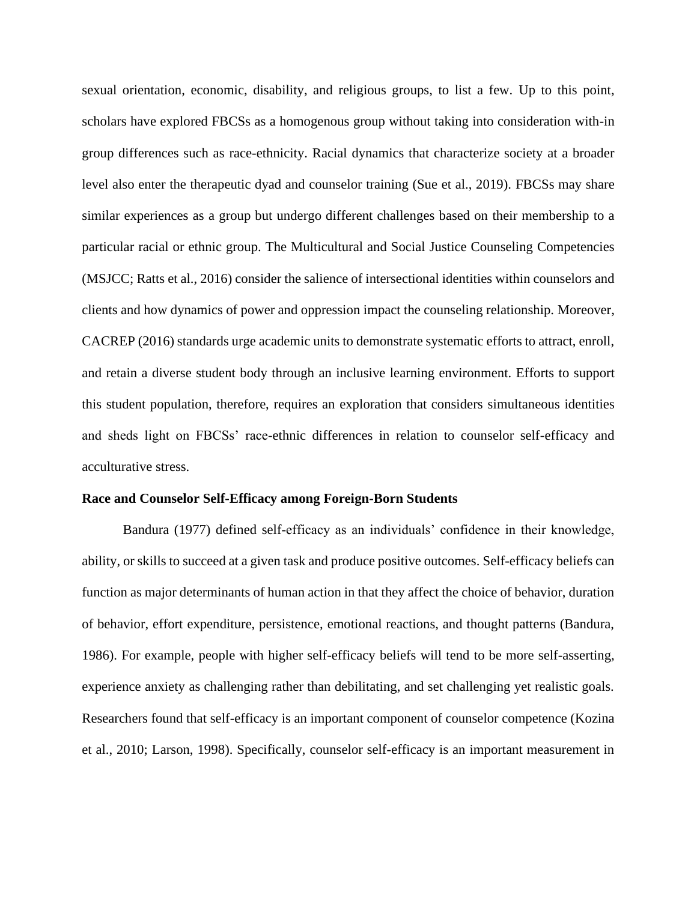sexual orientation, economic, disability, and religious groups, to list a few. Up to this point, scholars have explored FBCSs as a homogenous group without taking into consideration with-in group differences such as race-ethnicity. Racial dynamics that characterize society at a broader level also enter the therapeutic dyad and counselor training (Sue et al., 2019). FBCSs may share similar experiences as a group but undergo different challenges based on their membership to a particular racial or ethnic group. The Multicultural and Social Justice Counseling Competencies (MSJCC; Ratts et al., 2016) consider the salience of intersectional identities within counselors and clients and how dynamics of power and oppression impact the counseling relationship. Moreover, CACREP (2016) standards urge academic units to demonstrate systematic efforts to attract, enroll, and retain a diverse student body through an inclusive learning environment. Efforts to support this student population, therefore, requires an exploration that considers simultaneous identities and sheds light on FBCSs' race-ethnic differences in relation to counselor self-efficacy and acculturative stress.

#### **Race and Counselor Self-Efficacy among Foreign-Born Students**

Bandura (1977) defined self-efficacy as an individuals' confidence in their knowledge, ability, or skills to succeed at a given task and produce positive outcomes. Self-efficacy beliefs can function as major determinants of human action in that they affect the choice of behavior, duration of behavior, effort expenditure, persistence, emotional reactions, and thought patterns (Bandura, 1986). For example, people with higher self-efficacy beliefs will tend to be more self-asserting, experience anxiety as challenging rather than debilitating, and set challenging yet realistic goals. Researchers found that self-efficacy is an important component of counselor competence (Kozina et al., 2010; Larson, 1998). Specifically, counselor self-efficacy is an important measurement in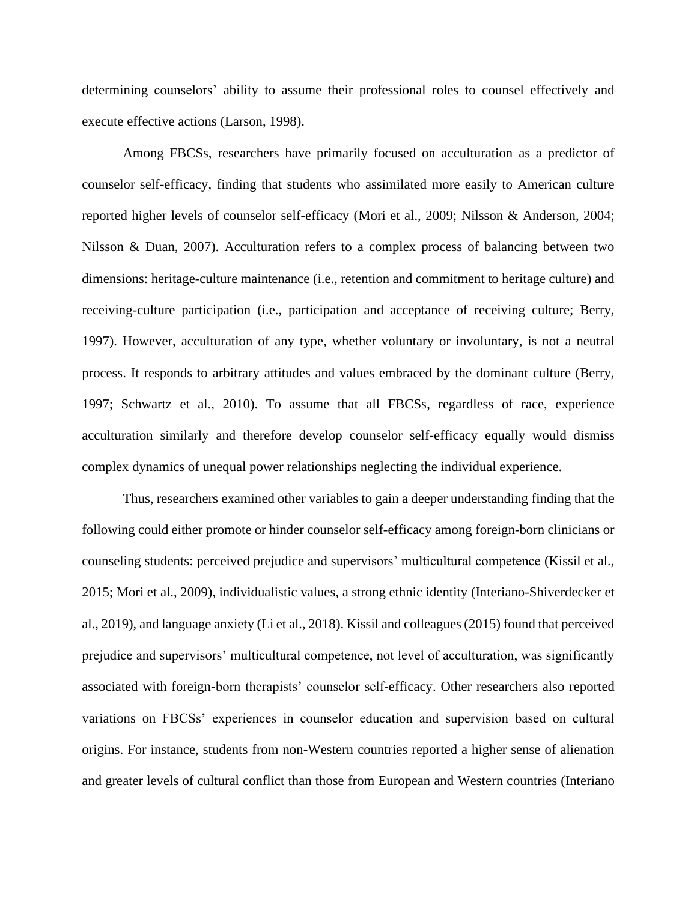determining counselors' ability to assume their professional roles to counsel effectively and execute effective actions (Larson, 1998).

Among FBCSs, researchers have primarily focused on acculturation as a predictor of counselor self-efficacy, finding that students who assimilated more easily to American culture reported higher levels of counselor self-efficacy (Mori et al., 2009; Nilsson & Anderson, 2004; Nilsson & Duan, 2007). Acculturation refers to a complex process of balancing between two dimensions: heritage-culture maintenance (i.e., retention and commitment to heritage culture) and receiving-culture participation (i.e., participation and acceptance of receiving culture; Berry, 1997). However, acculturation of any type, whether voluntary or involuntary, is not a neutral process. It responds to arbitrary attitudes and values embraced by the dominant culture (Berry, 1997; Schwartz et al., 2010). To assume that all FBCSs, regardless of race, experience acculturation similarly and therefore develop counselor self-efficacy equally would dismiss complex dynamics of unequal power relationships neglecting the individual experience.

Thus, researchers examined other variables to gain a deeper understanding finding that the following could either promote or hinder counselor self-efficacy among foreign-born clinicians or counseling students: perceived prejudice and supervisors' multicultural competence (Kissil et al., 2015; Mori et al., 2009), individualistic values, a strong ethnic identity (Interiano-Shiverdecker et al., 2019), and language anxiety (Li et al., 2018). Kissil and colleagues (2015) found that perceived prejudice and supervisors' multicultural competence, not level of acculturation, was significantly associated with foreign-born therapists' counselor self-efficacy. Other researchers also reported variations on FBCSs' experiences in counselor education and supervision based on cultural origins. For instance, students from non-Western countries reported a higher sense of alienation and greater levels of cultural conflict than those from European and Western countries (Interiano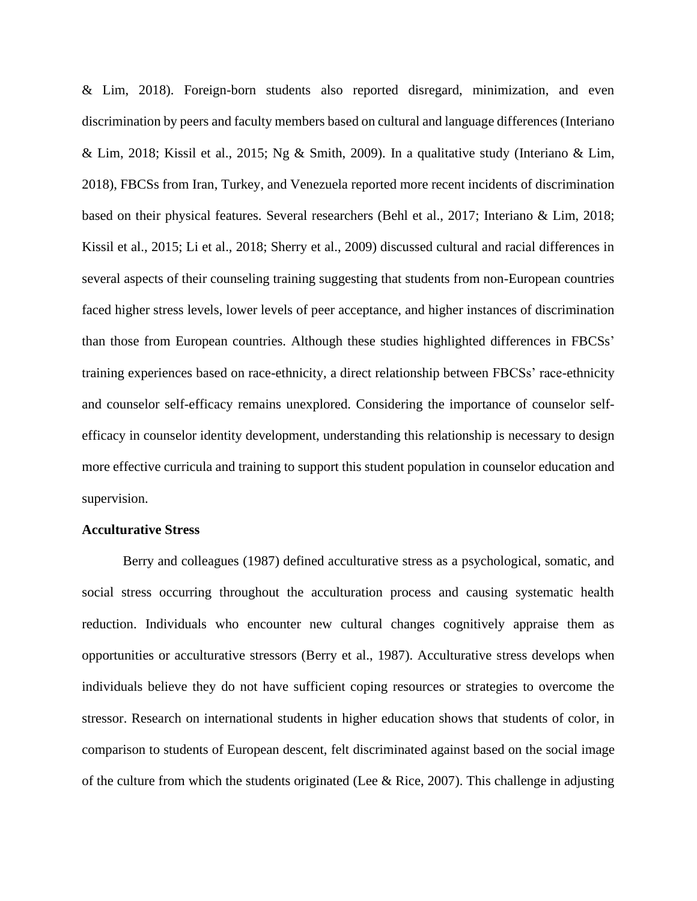& Lim, 2018). Foreign-born students also reported disregard, minimization, and even discrimination by peers and faculty members based on cultural and language differences (Interiano & Lim, 2018; Kissil et al., 2015; Ng & Smith, 2009). In a qualitative study (Interiano & Lim, 2018), FBCSs from Iran, Turkey, and Venezuela reported more recent incidents of discrimination based on their physical features. Several researchers (Behl et al., 2017; Interiano & Lim, 2018; Kissil et al., 2015; Li et al., 2018; Sherry et al., 2009) discussed cultural and racial differences in several aspects of their counseling training suggesting that students from non-European countries faced higher stress levels, lower levels of peer acceptance, and higher instances of discrimination than those from European countries. Although these studies highlighted differences in FBCSs' training experiences based on race-ethnicity, a direct relationship between FBCSs' race-ethnicity and counselor self-efficacy remains unexplored. Considering the importance of counselor selfefficacy in counselor identity development, understanding this relationship is necessary to design more effective curricula and training to support this student population in counselor education and supervision.

#### **Acculturative Stress**

Berry and colleagues (1987) defined acculturative stress as a psychological, somatic, and social stress occurring throughout the acculturation process and causing systematic health reduction. Individuals who encounter new cultural changes cognitively appraise them as opportunities or acculturative stressors (Berry et al., 1987). Acculturative stress develops when individuals believe they do not have sufficient coping resources or strategies to overcome the stressor. Research on international students in higher education shows that students of color, in comparison to students of European descent, felt discriminated against based on the social image of the culture from which the students originated (Lee & Rice, 2007). This challenge in adjusting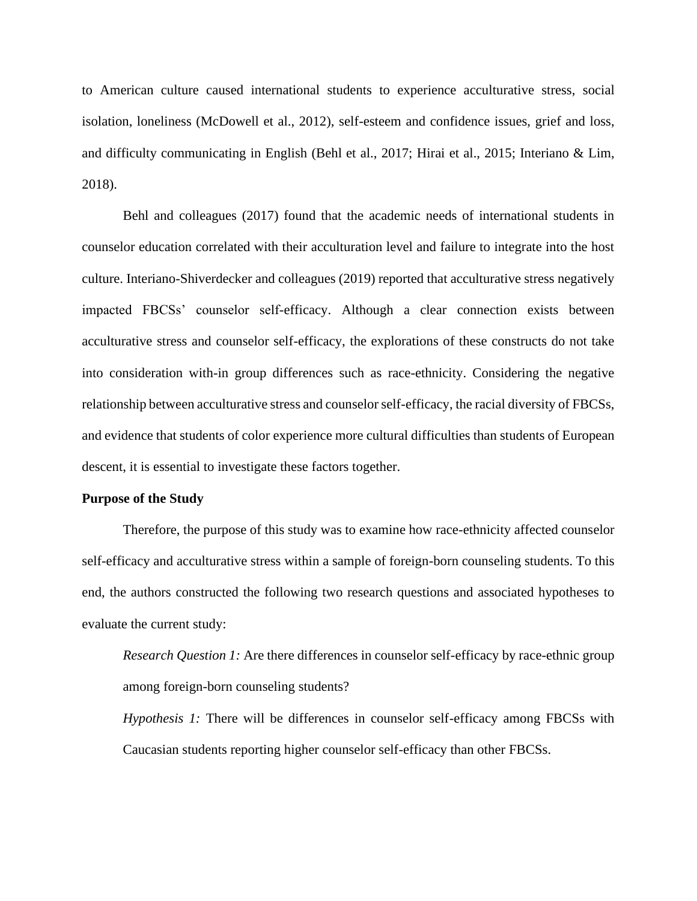to American culture caused international students to experience acculturative stress, social isolation, loneliness (McDowell et al., 2012), self-esteem and confidence issues, grief and loss, and difficulty communicating in English (Behl et al., 2017; Hirai et al., 2015; Interiano & Lim, 2018).

Behl and colleagues (2017) found that the academic needs of international students in counselor education correlated with their acculturation level and failure to integrate into the host culture. Interiano-Shiverdecker and colleagues (2019) reported that acculturative stress negatively impacted FBCSs' counselor self-efficacy. Although a clear connection exists between acculturative stress and counselor self-efficacy, the explorations of these constructs do not take into consideration with-in group differences such as race-ethnicity. Considering the negative relationship between acculturative stress and counselor self-efficacy, the racial diversity of FBCSs, and evidence that students of color experience more cultural difficulties than students of European descent, it is essential to investigate these factors together.

#### **Purpose of the Study**

Therefore, the purpose of this study was to examine how race-ethnicity affected counselor self-efficacy and acculturative stress within a sample of foreign-born counseling students. To this end, the authors constructed the following two research questions and associated hypotheses to evaluate the current study:

*Research Question 1:* Are there differences in counselor self-efficacy by race-ethnic group among foreign-born counseling students?

*Hypothesis 1:* There will be differences in counselor self-efficacy among FBCSs with Caucasian students reporting higher counselor self-efficacy than other FBCSs.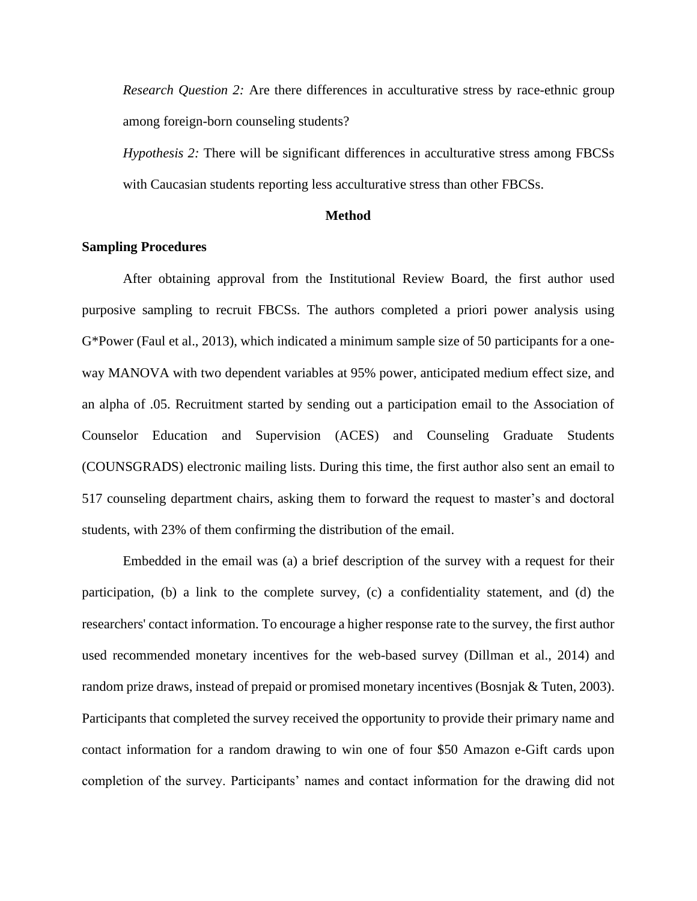*Research Question 2:* Are there differences in acculturative stress by race-ethnic group among foreign-born counseling students?

*Hypothesis 2:* There will be significant differences in acculturative stress among FBCSs with Caucasian students reporting less acculturative stress than other FBCSs.

#### **Method**

#### **Sampling Procedures**

After obtaining approval from the Institutional Review Board, the first author used purposive sampling to recruit FBCSs. The authors completed a priori power analysis using G\*Power (Faul et al., 2013), which indicated a minimum sample size of 50 participants for a oneway MANOVA with two dependent variables at 95% power, anticipated medium effect size, and an alpha of .05. Recruitment started by sending out a participation email to the Association of Counselor Education and Supervision (ACES) and Counseling Graduate Students (COUNSGRADS) electronic mailing lists. During this time, the first author also sent an email to 517 counseling department chairs, asking them to forward the request to master's and doctoral students, with 23% of them confirming the distribution of the email.

Embedded in the email was (a) a brief description of the survey with a request for their participation, (b) a link to the complete survey, (c) a confidentiality statement, and (d) the researchers' contact information. To encourage a higher response rate to the survey, the first author used recommended monetary incentives for the web-based survey (Dillman et al., 2014) and random prize draws, instead of prepaid or promised monetary incentives (Bosnjak & Tuten, 2003). Participants that completed the survey received the opportunity to provide their primary name and contact information for a random drawing to win one of four \$50 Amazon e-Gift cards upon completion of the survey. Participants' names and contact information for the drawing did not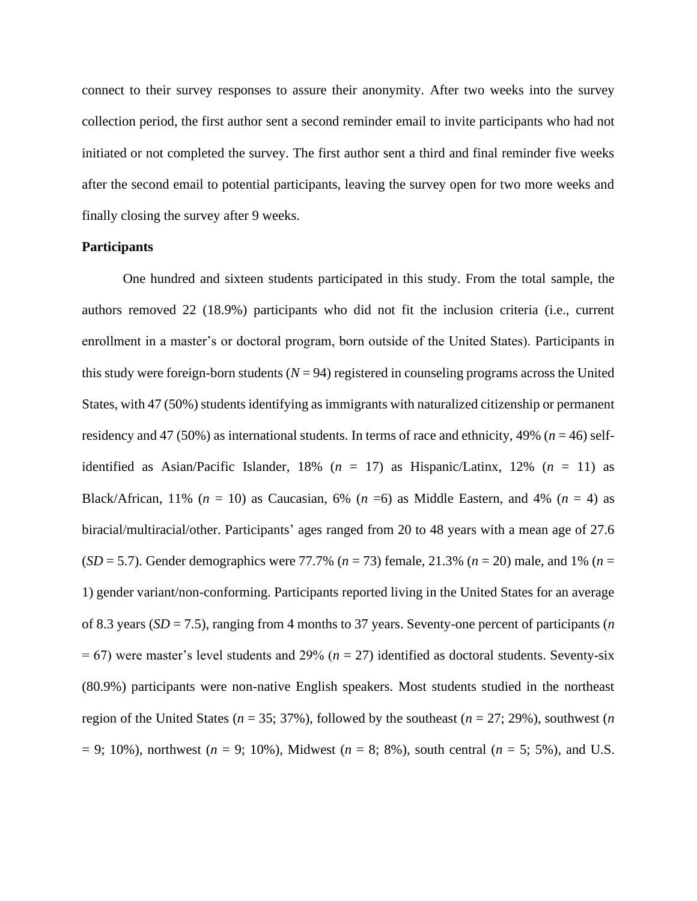connect to their survey responses to assure their anonymity. After two weeks into the survey collection period, the first author sent a second reminder email to invite participants who had not initiated or not completed the survey. The first author sent a third and final reminder five weeks after the second email to potential participants, leaving the survey open for two more weeks and finally closing the survey after 9 weeks.

#### **Participants**

One hundred and sixteen students participated in this study. From the total sample, the authors removed 22 (18.9%) participants who did not fit the inclusion criteria (i.e., current enrollment in a master's or doctoral program, born outside of the United States). Participants in this study were foreign-born students  $(N = 94)$  registered in counseling programs across the United States, with 47 (50%) students identifying as immigrants with naturalized citizenship or permanent residency and 47 (50%) as international students. In terms of race and ethnicity, 49% (*n* = 46) selfidentified as Asian/Pacific Islander,  $18\%$  ( $n = 17$ ) as Hispanic/Latinx,  $12\%$  ( $n = 11$ ) as Black/African, 11% ( $n = 10$ ) as Caucasian, 6% ( $n = 6$ ) as Middle Eastern, and 4% ( $n = 4$ ) as biracial/multiracial/other. Participants' ages ranged from 20 to 48 years with a mean age of 27.6 (*SD* = 5.7). Gender demographics were 77.7% (*n* = 73) female, 21.3% (*n* = 20) male, and 1% (*n* = 1) gender variant/non-conforming. Participants reported living in the United States for an average of 8.3 years (*SD* = 7.5), ranging from 4 months to 37 years. Seventy-one percent of participants (*n* = 67) were master's level students and 29% (*n* = 27) identified as doctoral students. Seventy-six (80.9%) participants were non-native English speakers. Most students studied in the northeast region of the United States (*n* = 35; 37%), followed by the southeast (*n* = 27; 29%), southwest (*n*  = 9; 10%), northwest (*n* = 9; 10%), Midwest (*n* = 8; 8%), south central (*n* = 5; 5%), and U.S.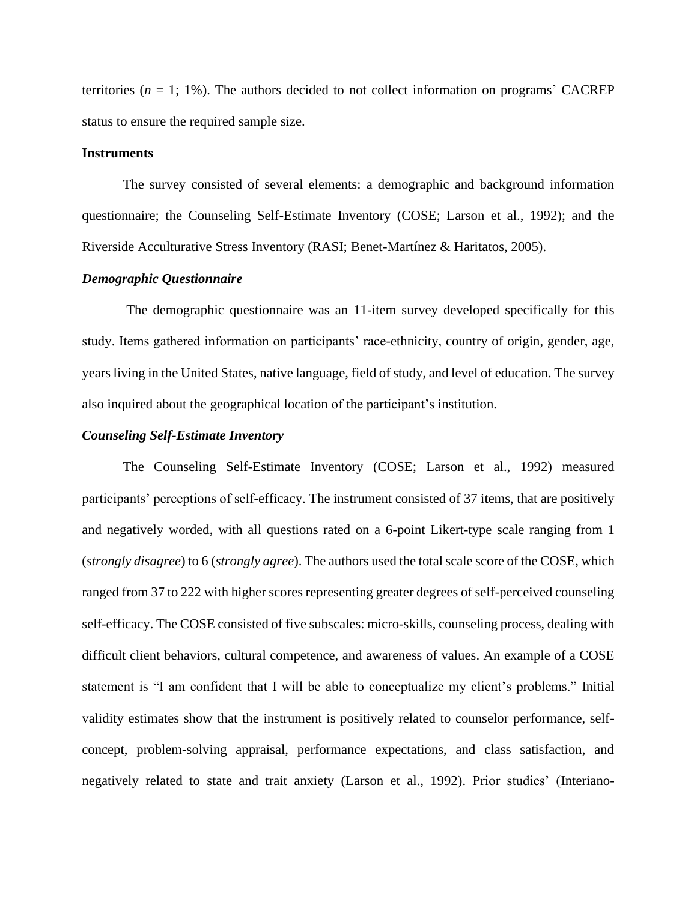territories  $(n = 1; 1\%)$ . The authors decided to not collect information on programs' CACREP status to ensure the required sample size.

#### **Instruments**

The survey consisted of several elements: a demographic and background information questionnaire; the Counseling Self-Estimate Inventory (COSE; Larson et al., 1992); and the Riverside Acculturative Stress Inventory (RASI; Benet-Martínez & Haritatos, 2005).

#### *Demographic Questionnaire*

The demographic questionnaire was an 11-item survey developed specifically for this study. Items gathered information on participants' race-ethnicity, country of origin, gender, age, years living in the United States, native language, field of study, and level of education. The survey also inquired about the geographical location of the participant's institution.

#### *Counseling Self-Estimate Inventory*

The Counseling Self-Estimate Inventory (COSE; Larson et al., 1992) measured participants' perceptions of self-efficacy. The instrument consisted of 37 items, that are positively and negatively worded, with all questions rated on a 6-point Likert-type scale ranging from 1 (*strongly disagree*) to 6 (*strongly agree*). The authors used the total scale score of the COSE, which ranged from 37 to 222 with higher scores representing greater degrees of self-perceived counseling self-efficacy. The COSE consisted of five subscales: micro-skills, counseling process, dealing with difficult client behaviors, cultural competence, and awareness of values. An example of a COSE statement is "I am confident that I will be able to conceptualize my client's problems." Initial validity estimates show that the instrument is positively related to counselor performance, selfconcept, problem-solving appraisal, performance expectations, and class satisfaction, and negatively related to state and trait anxiety (Larson et al., 1992). Prior studies' (Interiano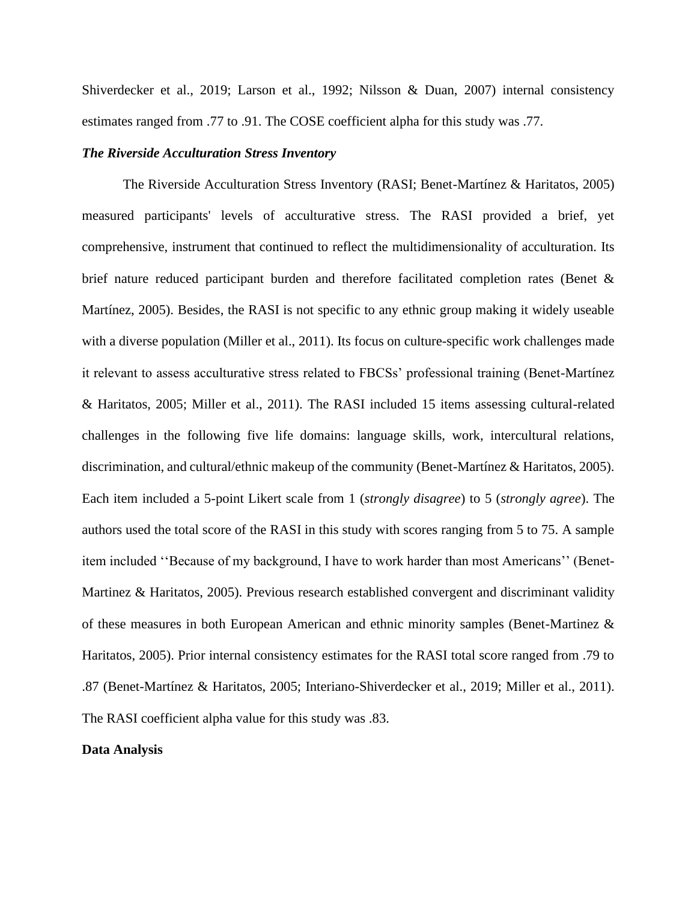Shiverdecker et al., 2019; Larson et al., 1992; Nilsson & Duan, 2007) internal consistency estimates ranged from .77 to .91. The COSE coefficient alpha for this study was .77.

#### *The Riverside Acculturation Stress Inventory*

The Riverside Acculturation Stress Inventory (RASI; Benet-Martínez & Haritatos, 2005) measured participants' levels of acculturative stress. The RASI provided a brief, yet comprehensive, instrument that continued to reflect the multidimensionality of acculturation. Its brief nature reduced participant burden and therefore facilitated completion rates (Benet & Martínez, 2005). Besides, the RASI is not specific to any ethnic group making it widely useable with a diverse population (Miller et al., 2011). Its focus on culture-specific work challenges made it relevant to assess acculturative stress related to FBCSs' professional training (Benet-Martínez & Haritatos, 2005; Miller et al., 2011). The RASI included 15 items assessing cultural-related challenges in the following five life domains: language skills, work, intercultural relations, discrimination, and cultural/ethnic makeup of the community (Benet-Martínez & Haritatos, 2005). Each item included a 5-point Likert scale from 1 (*strongly disagree*) to 5 (*strongly agree*). The authors used the total score of the RASI in this study with scores ranging from 5 to 75. A sample item included ''Because of my background, I have to work harder than most Americans'' (Benet-Martinez & Haritatos, 2005). Previous research established convergent and discriminant validity of these measures in both European American and ethnic minority samples (Benet-Martinez & Haritatos, 2005). Prior internal consistency estimates for the RASI total score ranged from .79 to .87 (Benet-Martínez & Haritatos, 2005; Interiano-Shiverdecker et al., 2019; Miller et al., 2011). The RASI coefficient alpha value for this study was .83.

# **Data Analysis**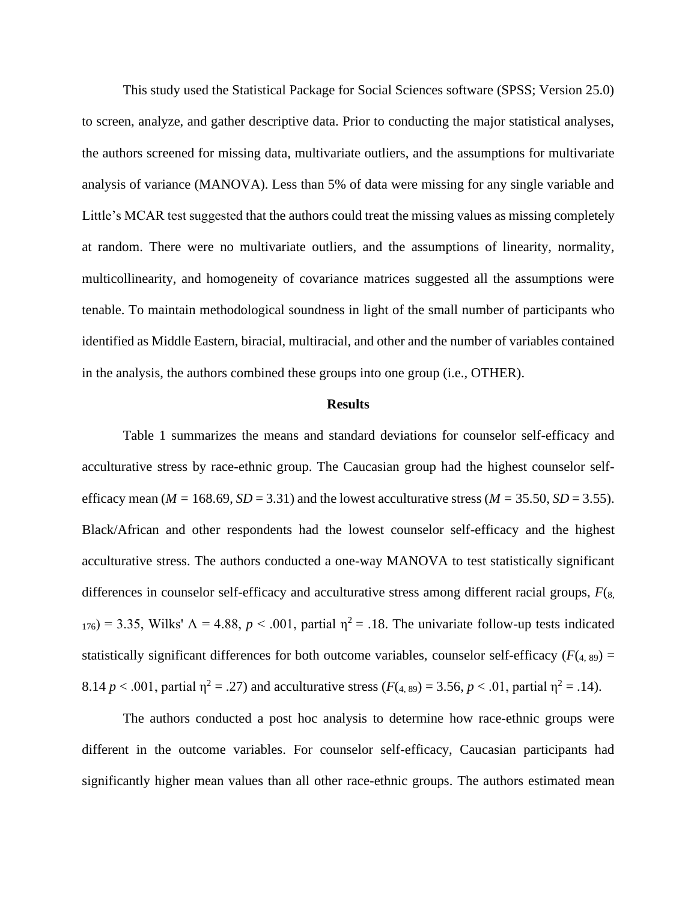This study used the Statistical Package for Social Sciences software (SPSS; Version 25.0) to screen, analyze, and gather descriptive data. Prior to conducting the major statistical analyses, the authors screened for missing data, multivariate outliers, and the assumptions for multivariate analysis of variance (MANOVA). Less than 5% of data were missing for any single variable and Little's MCAR test suggested that the authors could treat the missing values as missing completely at random. There were no multivariate outliers, and the assumptions of linearity, normality, multicollinearity, and homogeneity of covariance matrices suggested all the assumptions were tenable. To maintain methodological soundness in light of the small number of participants who identified as Middle Eastern, biracial, multiracial, and other and the number of variables contained in the analysis, the authors combined these groups into one group (i.e., OTHER).

#### **Results**

Table 1 summarizes the means and standard deviations for counselor self-efficacy and acculturative stress by race-ethnic group. The Caucasian group had the highest counselor selfefficacy mean ( $M = 168.69$ ,  $SD = 3.31$ ) and the lowest acculturative stress ( $M = 35.50$ ,  $SD = 3.55$ ). Black/African and other respondents had the lowest counselor self-efficacy and the highest acculturative stress. The authors conducted a one-way MANOVA to test statistically significant differences in counselor self-efficacy and acculturative stress among different racial groups, *F*(8,  $176$ ) = 3.35, Wilks'  $\Lambda$  = 4.88,  $p < .001$ , partial  $\eta^2 = .18$ . The univariate follow-up tests indicated statistically significant differences for both outcome variables, counselor self-efficacy  $(F(4, 89)) =$ 8.14 *p* < .001, partial  $\eta^2 = .27$ ) and acculturative stress ( $F(4, 89) = 3.56$ ,  $p < .01$ , partial  $\eta^2 = .14$ ).

The authors conducted a post hoc analysis to determine how race-ethnic groups were different in the outcome variables. For counselor self-efficacy, Caucasian participants had significantly higher mean values than all other race-ethnic groups. The authors estimated mean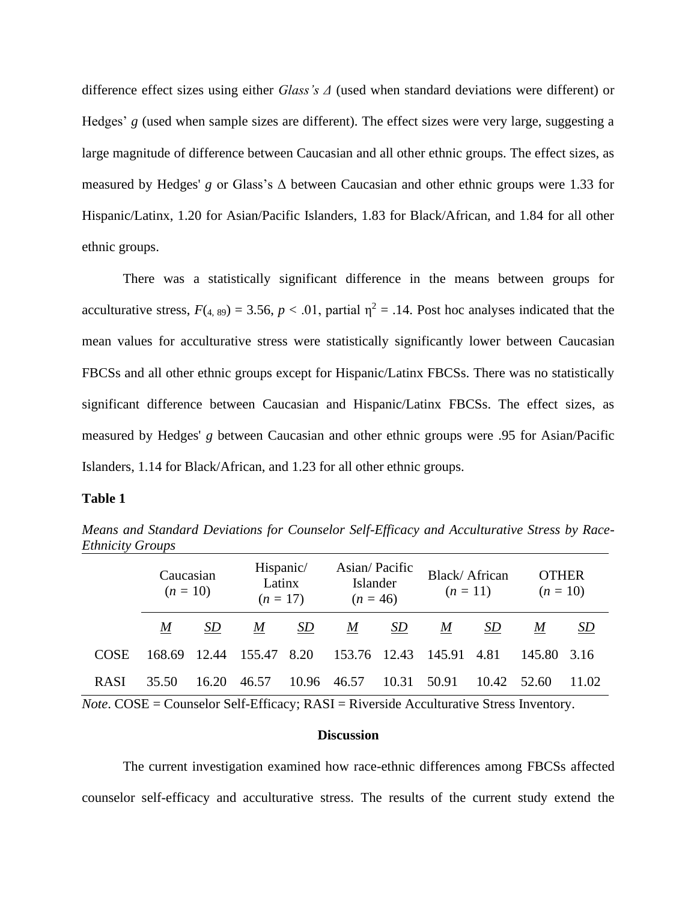difference effect sizes using either *Glass's Δ* (used when standard deviations were different) or Hedges' *g* (used when sample sizes are different). The effect sizes were very large, suggesting a large magnitude of difference between Caucasian and all other ethnic groups. The effect sizes, as measured by Hedges' *g* or Glass's Δ between Caucasian and other ethnic groups were 1.33 for Hispanic/Latinx, 1.20 for Asian/Pacific Islanders, 1.83 for Black/African, and 1.84 for all other ethnic groups.

There was a statistically significant difference in the means between groups for acculturative stress,  $F(x, 89) = 3.56$ ,  $p < .01$ , partial  $\eta^2 = .14$ . Post hoc analyses indicated that the mean values for acculturative stress were statistically significantly lower between Caucasian FBCSs and all other ethnic groups except for Hispanic/Latinx FBCSs. There was no statistically significant difference between Caucasian and Hispanic/Latinx FBCSs. The effect sizes, as measured by Hedges' *g* between Caucasian and other ethnic groups were .95 for Asian/Pacific Islanders, 1.14 for Black/African, and 1.23 for all other ethnic groups.

#### **Table 1**

*Means and Standard Deviations for Counselor Self-Efficacy and Acculturative Stress by Race-Ethnicity Groups*

|             | Caucasian<br>$(n = 10)$ |       | Hispanic/<br>Latinx<br>$(n = 17)$ |       | Asian/Pacific<br>Islander<br>$(n = 46)$ |       | Black/African<br>$(n = 11)$ |           | <b>OTHER</b><br>$(n = 10)$ |           |
|-------------|-------------------------|-------|-----------------------------------|-------|-----------------------------------------|-------|-----------------------------|-----------|----------------------------|-----------|
|             | M                       | SD    | M                                 | SD    | M                                       | SD    | M                           | <i>SD</i> | M                          | <u>SD</u> |
| <b>COSE</b> | 168.69                  | 12.44 | 155.47                            | 8.20  | 153.76 12.43                            |       | 145.91                      | 4.81      | 145.80                     | -3.16     |
| <b>RASI</b> | 35.50                   | 16.20 | 46.57                             | 10.96 | 46.57                                   | 10.31 | 50.91                       | 10.42     | 52.60                      | 11.02     |

*Note*. COSE = Counselor Self-Efficacy; RASI = Riverside Acculturative Stress Inventory.

#### **Discussion**

The current investigation examined how race-ethnic differences among FBCSs affected counselor self-efficacy and acculturative stress. The results of the current study extend the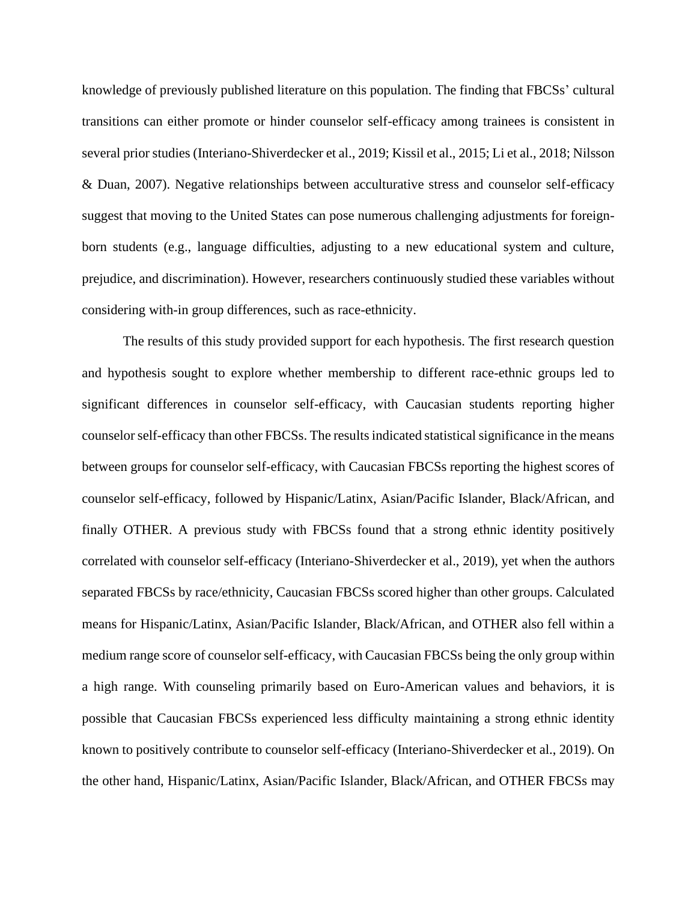knowledge of previously published literature on this population. The finding that FBCSs' cultural transitions can either promote or hinder counselor self-efficacy among trainees is consistent in several prior studies (Interiano-Shiverdecker et al., 2019; Kissil et al., 2015; Li et al., 2018; Nilsson & Duan, 2007). Negative relationships between acculturative stress and counselor self-efficacy suggest that moving to the United States can pose numerous challenging adjustments for foreignborn students (e.g., language difficulties, adjusting to a new educational system and culture, prejudice, and discrimination). However, researchers continuously studied these variables without considering with-in group differences, such as race-ethnicity.

The results of this study provided support for each hypothesis. The first research question and hypothesis sought to explore whether membership to different race-ethnic groups led to significant differences in counselor self-efficacy, with Caucasian students reporting higher counselor self-efficacy than other FBCSs. The results indicated statistical significance in the means between groups for counselor self-efficacy, with Caucasian FBCSs reporting the highest scores of counselor self-efficacy, followed by Hispanic/Latinx, Asian/Pacific Islander, Black/African, and finally OTHER. A previous study with FBCSs found that a strong ethnic identity positively correlated with counselor self-efficacy (Interiano-Shiverdecker et al., 2019), yet when the authors separated FBCSs by race/ethnicity, Caucasian FBCSs scored higher than other groups. Calculated means for Hispanic/Latinx, Asian/Pacific Islander, Black/African, and OTHER also fell within a medium range score of counselor self-efficacy, with Caucasian FBCSs being the only group within a high range. With counseling primarily based on Euro-American values and behaviors, it is possible that Caucasian FBCSs experienced less difficulty maintaining a strong ethnic identity known to positively contribute to counselor self-efficacy (Interiano-Shiverdecker et al., 2019). On the other hand, Hispanic/Latinx, Asian/Pacific Islander, Black/African, and OTHER FBCSs may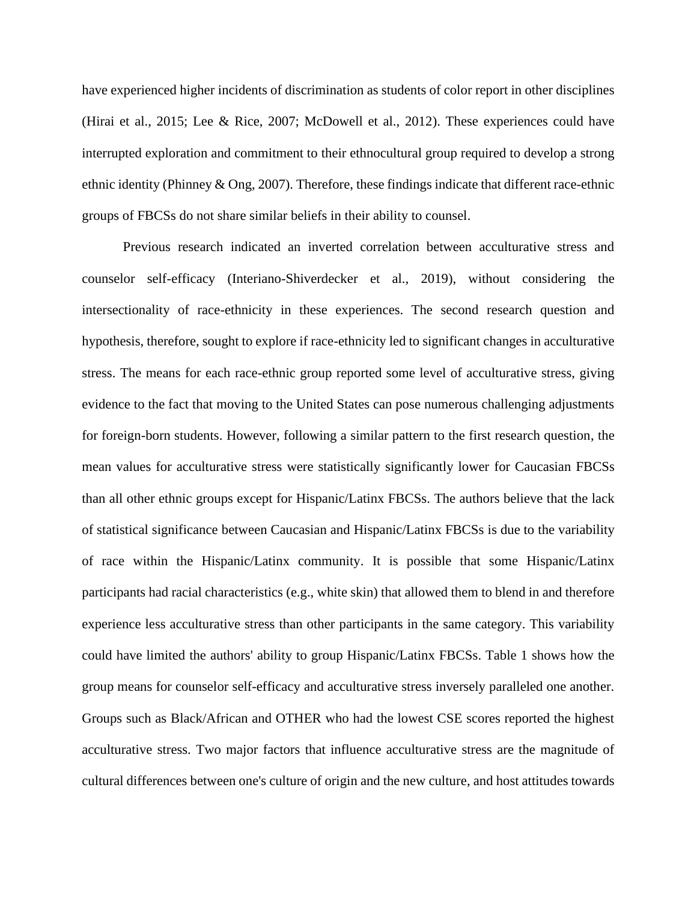have experienced higher incidents of discrimination as students of color report in other disciplines (Hirai et al., 2015; Lee & Rice, 2007; McDowell et al., 2012). These experiences could have interrupted exploration and commitment to their ethnocultural group required to develop a strong ethnic identity (Phinney & Ong, 2007). Therefore, these findings indicate that different race-ethnic groups of FBCSs do not share similar beliefs in their ability to counsel.

Previous research indicated an inverted correlation between acculturative stress and counselor self-efficacy (Interiano-Shiverdecker et al., 2019), without considering the intersectionality of race-ethnicity in these experiences. The second research question and hypothesis, therefore, sought to explore if race-ethnicity led to significant changes in acculturative stress. The means for each race-ethnic group reported some level of acculturative stress, giving evidence to the fact that moving to the United States can pose numerous challenging adjustments for foreign-born students. However, following a similar pattern to the first research question, the mean values for acculturative stress were statistically significantly lower for Caucasian FBCSs than all other ethnic groups except for Hispanic/Latinx FBCSs. The authors believe that the lack of statistical significance between Caucasian and Hispanic/Latinx FBCSs is due to the variability of race within the Hispanic/Latinx community. It is possible that some Hispanic/Latinx participants had racial characteristics (e.g., white skin) that allowed them to blend in and therefore experience less acculturative stress than other participants in the same category. This variability could have limited the authors' ability to group Hispanic/Latinx FBCSs. Table 1 shows how the group means for counselor self-efficacy and acculturative stress inversely paralleled one another. Groups such as Black/African and OTHER who had the lowest CSE scores reported the highest acculturative stress. Two major factors that influence acculturative stress are the magnitude of cultural differences between one's culture of origin and the new culture, and host attitudes towards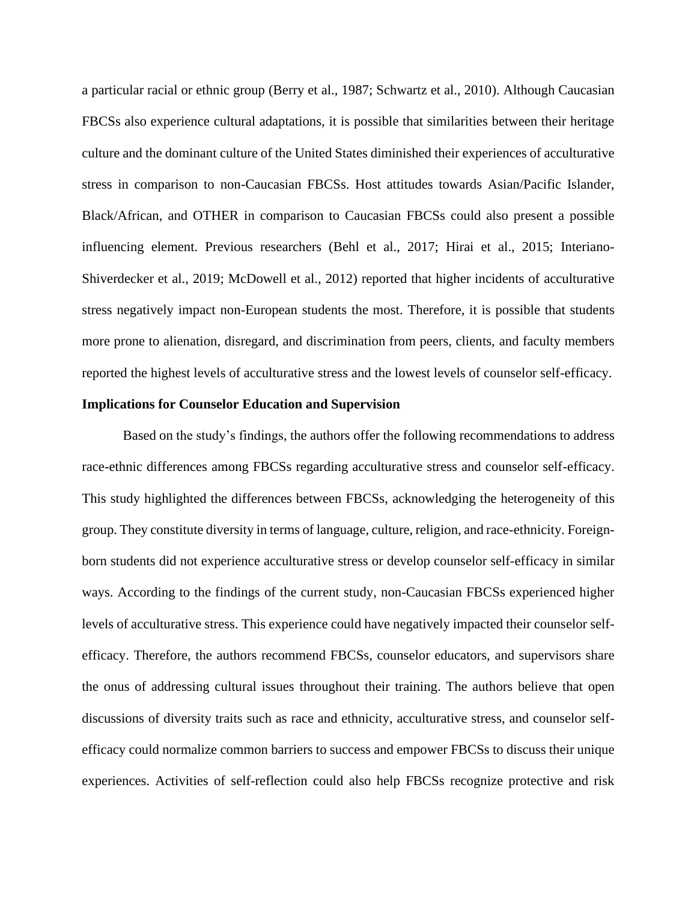a particular racial or ethnic group (Berry et al., 1987; Schwartz et al., 2010). Although Caucasian FBCSs also experience cultural adaptations, it is possible that similarities between their heritage culture and the dominant culture of the United States diminished their experiences of acculturative stress in comparison to non-Caucasian FBCSs. Host attitudes towards Asian/Pacific Islander, Black/African, and OTHER in comparison to Caucasian FBCSs could also present a possible influencing element. Previous researchers (Behl et al., 2017; Hirai et al., 2015; Interiano-Shiverdecker et al., 2019; McDowell et al., 2012) reported that higher incidents of acculturative stress negatively impact non-European students the most. Therefore, it is possible that students more prone to alienation, disregard, and discrimination from peers, clients, and faculty members reported the highest levels of acculturative stress and the lowest levels of counselor self-efficacy.

### **Implications for Counselor Education and Supervision**

Based on the study's findings, the authors offer the following recommendations to address race-ethnic differences among FBCSs regarding acculturative stress and counselor self-efficacy. This study highlighted the differences between FBCSs, acknowledging the heterogeneity of this group. They constitute diversity in terms of language, culture, religion, and race-ethnicity. Foreignborn students did not experience acculturative stress or develop counselor self-efficacy in similar ways. According to the findings of the current study, non-Caucasian FBCSs experienced higher levels of acculturative stress. This experience could have negatively impacted their counselor selfefficacy. Therefore, the authors recommend FBCSs, counselor educators, and supervisors share the onus of addressing cultural issues throughout their training. The authors believe that open discussions of diversity traits such as race and ethnicity, acculturative stress, and counselor selfefficacy could normalize common barriers to success and empower FBCSs to discuss their unique experiences. Activities of self-reflection could also help FBCSs recognize protective and risk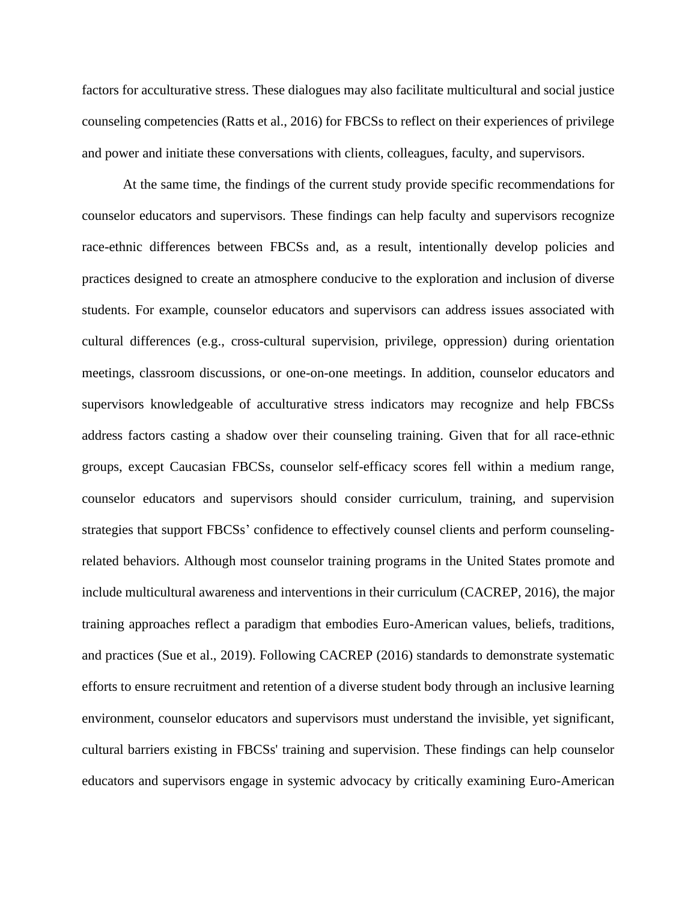factors for acculturative stress. These dialogues may also facilitate multicultural and social justice counseling competencies (Ratts et al., 2016) for FBCSs to reflect on their experiences of privilege and power and initiate these conversations with clients, colleagues, faculty, and supervisors.

At the same time, the findings of the current study provide specific recommendations for counselor educators and supervisors. These findings can help faculty and supervisors recognize race-ethnic differences between FBCSs and, as a result, intentionally develop policies and practices designed to create an atmosphere conducive to the exploration and inclusion of diverse students. For example, counselor educators and supervisors can address issues associated with cultural differences (e.g., cross-cultural supervision, privilege, oppression) during orientation meetings, classroom discussions, or one-on-one meetings. In addition, counselor educators and supervisors knowledgeable of acculturative stress indicators may recognize and help FBCSs address factors casting a shadow over their counseling training. Given that for all race-ethnic groups, except Caucasian FBCSs, counselor self-efficacy scores fell within a medium range, counselor educators and supervisors should consider curriculum, training, and supervision strategies that support FBCSs' confidence to effectively counsel clients and perform counselingrelated behaviors. Although most counselor training programs in the United States promote and include multicultural awareness and interventions in their curriculum (CACREP, 2016), the major training approaches reflect a paradigm that embodies Euro-American values, beliefs, traditions, and practices (Sue et al., 2019). Following CACREP (2016) standards to demonstrate systematic efforts to ensure recruitment and retention of a diverse student body through an inclusive learning environment, counselor educators and supervisors must understand the invisible, yet significant, cultural barriers existing in FBCSs' training and supervision. These findings can help counselor educators and supervisors engage in systemic advocacy by critically examining Euro-American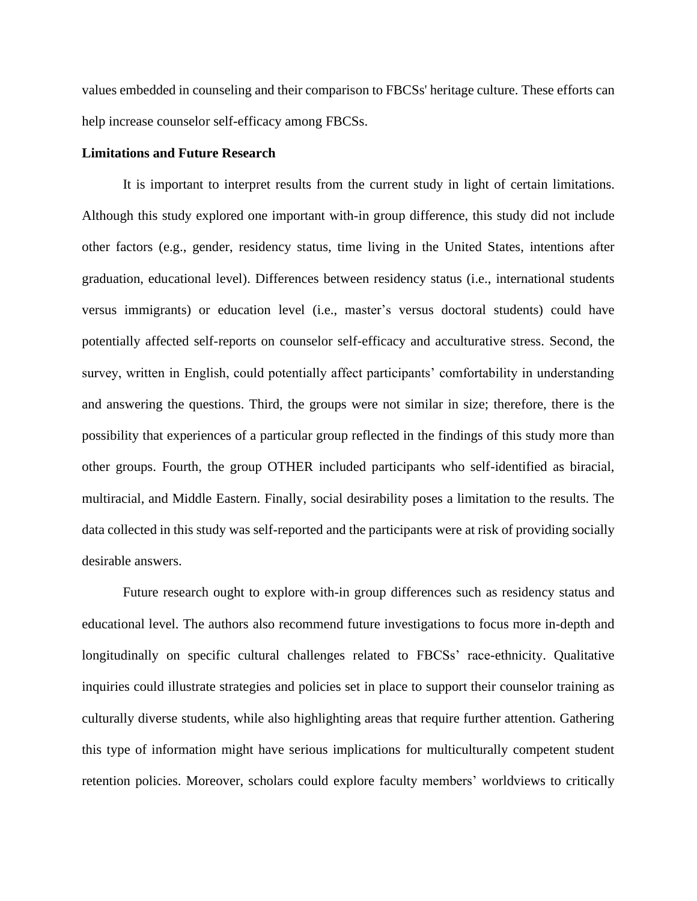values embedded in counseling and their comparison to FBCSs' heritage culture. These efforts can help increase counselor self-efficacy among FBCSs.

#### **Limitations and Future Research**

It is important to interpret results from the current study in light of certain limitations. Although this study explored one important with-in group difference, this study did not include other factors (e.g., gender, residency status, time living in the United States, intentions after graduation, educational level). Differences between residency status (i.e., international students versus immigrants) or education level (i.e., master's versus doctoral students) could have potentially affected self-reports on counselor self-efficacy and acculturative stress. Second, the survey, written in English, could potentially affect participants' comfortability in understanding and answering the questions. Third, the groups were not similar in size; therefore, there is the possibility that experiences of a particular group reflected in the findings of this study more than other groups. Fourth, the group OTHER included participants who self-identified as biracial, multiracial, and Middle Eastern. Finally, social desirability poses a limitation to the results. The data collected in this study was self-reported and the participants were at risk of providing socially desirable answers.

Future research ought to explore with-in group differences such as residency status and educational level. The authors also recommend future investigations to focus more in-depth and longitudinally on specific cultural challenges related to FBCSs' race-ethnicity. Qualitative inquiries could illustrate strategies and policies set in place to support their counselor training as culturally diverse students, while also highlighting areas that require further attention. Gathering this type of information might have serious implications for multiculturally competent student retention policies. Moreover, scholars could explore faculty members' worldviews to critically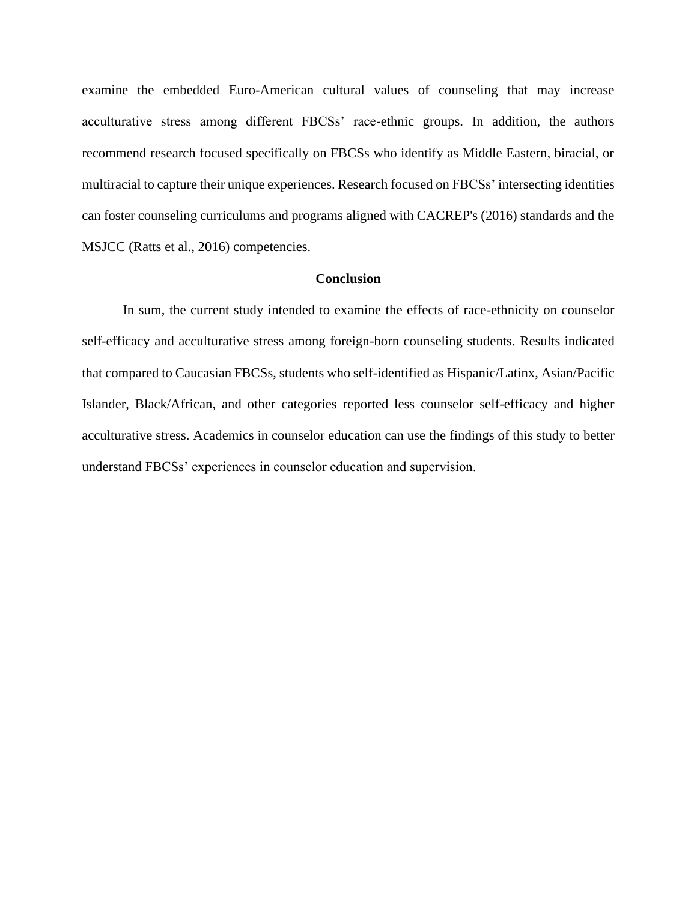examine the embedded Euro-American cultural values of counseling that may increase acculturative stress among different FBCSs' race-ethnic groups. In addition, the authors recommend research focused specifically on FBCSs who identify as Middle Eastern, biracial, or multiracial to capture their unique experiences. Research focused on FBCSs' intersecting identities can foster counseling curriculums and programs aligned with CACREP's (2016) standards and the MSJCC (Ratts et al., 2016) competencies.

## **Conclusion**

In sum, the current study intended to examine the effects of race-ethnicity on counselor self-efficacy and acculturative stress among foreign-born counseling students. Results indicated that compared to Caucasian FBCSs, students who self-identified as Hispanic/Latinx, Asian/Pacific Islander, Black/African, and other categories reported less counselor self-efficacy and higher acculturative stress. Academics in counselor education can use the findings of this study to better understand FBCSs' experiences in counselor education and supervision.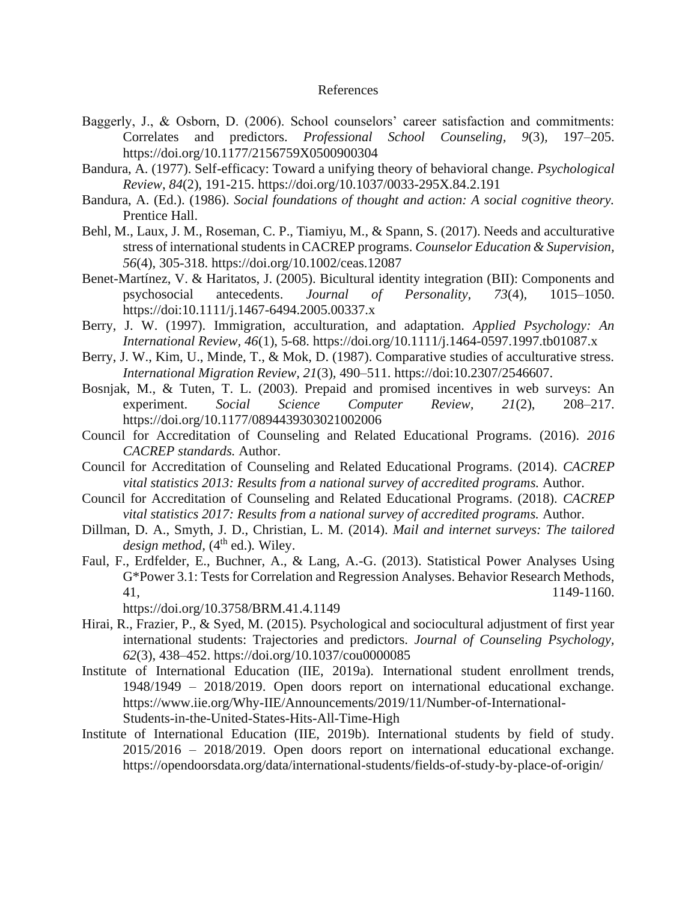### References

- Baggerly, J., & Osborn, D. (2006). School counselors' career satisfaction and commitments: Correlates and predictors. *Professional School Counseling, 9*(3)*,* 197–205. [https://doi.org/10.1177/2156759X0500900304](https://doi.org/10.1177%2F2156759X0500900304)
- Bandura, A. (1977). Self-efficacy: Toward a unifying theory of behavioral change. *Psychological Review*, *84*(2), 191-215.<https://doi.org/10.1037/0033-295X.84.2.191>
- Bandura, A. (Ed.). (1986). *Social foundations of thought and action: A social cognitive theory.*  Prentice Hall.
- Behl, M., Laux, J. M., Roseman, C. P., Tiamiyu, M., & Spann, S. (2017). Needs and acculturative stress of international students in CACREP programs. *Counselor Education & Supervision, 56*(4), 305-318.<https://doi.org/10.1002/ceas.12087>
- Benet-Martínez, V. & Haritatos, J. (2005). Bicultural identity integration (BII): Components and psychosocial antecedents. *Journal of Personality, 73*(4)*,* 1015–1050. <https://doi:10.1111/j.1467-6494.2005.00337.x>
- Berry, J. W. (1997). Immigration, acculturation, and adaptation. *Applied Psychology: An International Review, 46*(1), 5-68. <https://doi.org/10.1111/j.1464-0597.1997.tb01087.x>
- Berry, J. W., Kim, U., Minde, T., & Mok, D. (1987). Comparative studies of acculturative stress. *International Migration Review, 21*(3)*,* 490–511. [https://doi:10.2307/2546607.](https://doi:10.2307/2546607)
- Bosnjak, M., & Tuten, T. L. (2003). Prepaid and promised incentives in web surveys: An experiment. *Social Science Computer Review, 21*(2), 208–217. [https://doi.org/10.1177/0894439303021002006](https://doi.org/10.1177%2F0894439303021002006)
- Council for Accreditation of Counseling and Related Educational Programs. (2016). *2016 CACREP standards.* Author.
- Council for Accreditation of Counseling and Related Educational Programs. (2014). *CACREP vital statistics 2013: Results from a national survey of accredited programs.* Author.
- Council for Accreditation of Counseling and Related Educational Programs. (2018). *CACREP vital statistics 2017: Results from a national survey of accredited programs.* Author.
- Dillman, D. A., Smyth, J. D., Christian, L. M. (2014). *Mail and internet surveys: The tailored design method,* (4<sup>th</sup> ed.). Wiley.
- Faul, F., Erdfelder, E., Buchner, A., & Lang, A.-G. (2013). Statistical Power Analyses Using G\*Power 3.1: Tests for Correlation and Regression Analyses. Behavior Research Methods, 41, 1149-1160.
	- <https://doi.org/10.3758/BRM.41.4.1149>
- Hirai, R., Frazier, P., & Syed, M. (2015). Psychological and sociocultural adjustment of first year international students: Trajectories and predictors. *Journal of Counseling Psychology, 62*(3), 438–452. [https://doi.org/10.1037/cou0000085](https://psycnet.apa.org/doi/10.1037/cou0000085)
- Institute of International Education (IIE, 2019a). International student enrollment trends, 1948/1949 – 2018/2019. Open doors report on international educational exchange. [https://www.iie.org/Why-IIE/Announcements/2019/11/Number-of-International-](https://www.iie.org/Why-IIE/Announcements/2019/11/Number-of-International-Students-in-the-United-States-Hits-All-Time-High)[Students-in-the-United-States-Hits-All-Time-High](https://www.iie.org/Why-IIE/Announcements/2019/11/Number-of-International-Students-in-the-United-States-Hits-All-Time-High)
- Institute of International Education (IIE, 2019b). International students by field of study. 2015/2016 – 2018/2019. Open doors report on international educational exchange. <https://opendoorsdata.org/data/international-students/fields-of-study-by-place-of-origin/>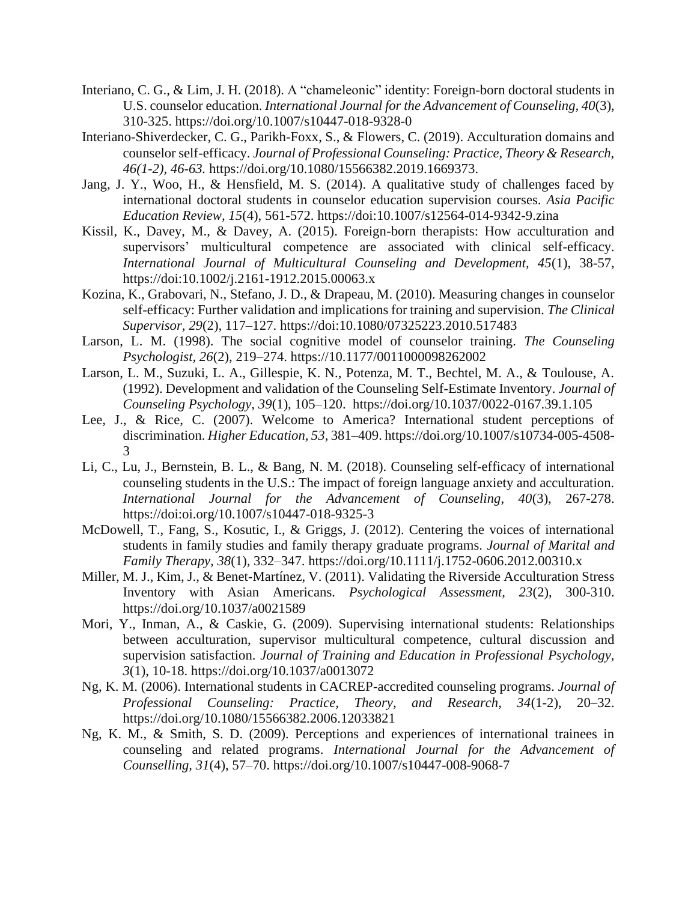- Interiano, C. G., & Lim, J. H. (2018). A "chameleonic" identity: Foreign-born doctoral students in U.S. counselor education. *International Journal for the Advancement of Counseling, 40*(3), 310-325. [https://doi.org/10.1007/s10447-018-9328-0](https://psycnet.apa.org/doi/10.1007/s10447-018-9328-0)
- Interiano-Shiverdecker, C. G., Parikh-Foxx, S., & Flowers, C. (2019). Acculturation domains and counselor self-efficacy. *Journal of Professional Counseling: Practice, Theory & Research, 46(1-2), 46-63.* [https://doi.org/10.1080/15566382.2019.1669373.](https://doi.org/10.1080/15566382.2019.1669373)
- Jang, J. Y., Woo, H., & Hensfield, M. S. (2014). A qualitative study of challenges faced by international doctoral students in counselor education supervision courses. *Asia Pacific Education Review, 15*(4), 561-572.<https://doi:10.1007/s12564-014-9342-9.zina>
- Kissil, K., Davey, M., & Davey, A. (2015). Foreign-born therapists: How acculturation and supervisors' multicultural competence are associated with clinical self-efficacy. *International Journal of Multicultural Counseling and Development, 45*(1), 38-57, <https://doi:10.1002/j.2161-1912.2015.00063.x>
- Kozina, K., Grabovari, N., Stefano, J. D., & Drapeau, M. (2010). Measuring changes in counselor self-efficacy: Further validation and implications for training and supervision. *The Clinical Supervisor, 29*(2)*,* 117–127.<https://doi:10.1080/07325223.2010.517483>
- Larson, L. M. (1998). The social cognitive model of counselor training. *The Counseling Psychologist, 26*(2), 219–274. [https://10.1177/0011000098262002](https://10.0.4.153/0011000098262002)
- Larson, L. M., Suzuki, L. A., Gillespie, K. N., Potenza, M. T., Bechtel, M. A., & Toulouse, A. (1992). Development and validation of the Counseling Self-Estimate Inventory. *Journal of Counseling Psychology, 39*(1), 105–120. [https://doi.org/10.1037/0022-0167.39.1.105](https://psycnet.apa.org/doi/10.1037/0022-0167.39.1.105)
- Lee, J., & Rice, C. (2007). Welcome to America? International student perceptions of discrimination. *Higher Education, 53*, 381–409. [https://doi.org/10.1007/s10734-005-4508-](https://doi.org/10.1007/s10734-005-4508-3) [3](https://doi.org/10.1007/s10734-005-4508-3)
- Li, C., Lu, J., Bernstein, B. L., & Bang, N. M. (2018). Counseling self-efficacy of international counseling students in the U.S.: The impact of foreign language anxiety and acculturation. *International Journal for the Advancement of Counseling, 40*(3), 267-278. <https://doi:oi.org/10.1007/s10447-018-9325-3>
- McDowell, T., Fang, S., Kosutic, I., & Griggs, J. (2012). Centering the voices of international students in family studies and family therapy graduate programs. *Journal of Marital and Family Therapy, 38*(1)*,* 332–347.<https://doi.org/10.1111/j.1752-0606.2012.00310.x>
- Miller, M. J., Kim, J., & Benet-Martínez, V. (2011). Validating the Riverside Acculturation Stress Inventory with Asian Americans. *Psychological Assessment, 23*(2), 300-310. [https://doi.org/10.1037/a0021589](https://psycnet.apa.org/doi/10.1037/a0021589)
- Mori, Y., Inman, A., & Caskie, G. (2009). Supervising international students: Relationships between acculturation, supervisor multicultural competence, cultural discussion and supervision satisfaction. *Journal of Training and Education in Professional Psychology, 3*(1), 10-18. [https://doi.org/10.1037/a0013072](https://psycnet.apa.org/doi/10.1037/a0013072)
- Ng, K. M. (2006). International students in CACREP-accredited counseling programs. *Journal of Professional Counseling: Practice, Theory, and Research, 34*(1-2), 20–32. <https://doi.org/10.1080/15566382.2006.12033821>
- Ng, K. M., & Smith, S. D. (2009). Perceptions and experiences of international trainees in counseling and related programs. *International Journal for the Advancement of Counselling, 31*(4), 57–70.<https://doi.org/10.1007/s10447-008-9068-7>